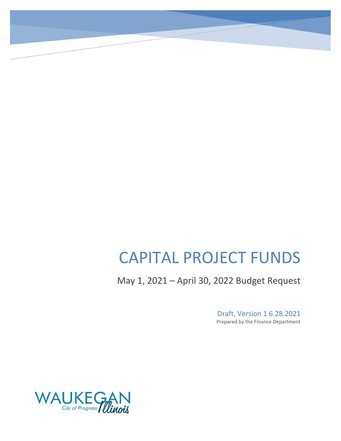# CAPITAL PROJECT FUNDS

May 1, 2021 – April 30, 2022 Budget Request

Draft, Version 1 6.28.2021 Prepared by the Finance Department

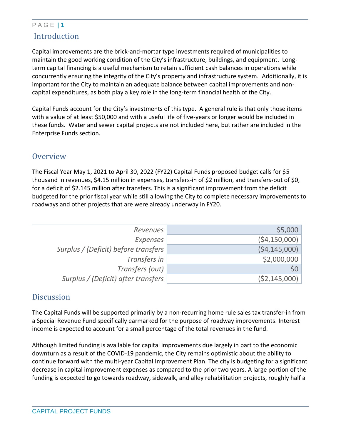## P A G E | **1** Introduction

Capital improvements are the brick-and-mortar type investments required of municipalities to maintain the good working condition of the City's infrastructure, buildings, and equipment. Longterm capital financing is a useful mechanism to retain sufficient cash balances in operations while concurrently ensuring the integrity of the City's property and infrastructure system. Additionally, it is important for the City to maintain an adequate balance between capital improvements and noncapital expenditures, as both play a key role in the long-term financial health of the City.

Capital Funds account for the City's investments of this type. A general rule is that only those items with a value of at least \$50,000 and with a useful life of five-years or longer would be included in these funds. Water and sewer capital projects are not included here, but rather are included in the Enterprise Funds section.

## **Overview**

The Fiscal Year May 1, 2021 to April 30, 2022 (FY22) Capital Funds proposed budget calls for \$5 thousand in revenues, \$4.15 million in expenses, transfers-in of \$2 million, and transfers-out of \$0, for a deficit of \$2.145 million after transfers. This is a significant improvement from the deficit budgeted for the prior fiscal year while still allowing the City to complete necessary improvements to roadways and other projects that are were already underway in FY20.

| \$5,000        | <b>Revenues</b>                      |
|----------------|--------------------------------------|
| (54, 150, 000) | Expenses                             |
| (54, 145, 000) | Surplus / (Deficit) before transfers |
| \$2,000,000    | Transfers in                         |
| \$0            | Transfers (out)                      |
| (52, 145, 000) | Surplus / (Deficit) after transfers  |

### **Discussion**

The Capital Funds will be supported primarily by a non-recurring home rule sales tax transfer-in from a Special Revenue Fund specifically earmarked for the purpose of roadway improvements. Interest income is expected to account for a small percentage of the total revenues in the fund.

Although limited funding is available for capital improvements due largely in part to the economic downturn as a result of the COVID-19 pandemic, the City remains optimistic about the ability to continue forward with the multi-year Capital Improvement Plan. The city is budgeting for a significant decrease in capital improvement expenses as compared to the prior two years. A large portion of the funding is expected to go towards roadway, sidewalk, and alley rehabilitation projects, roughly half a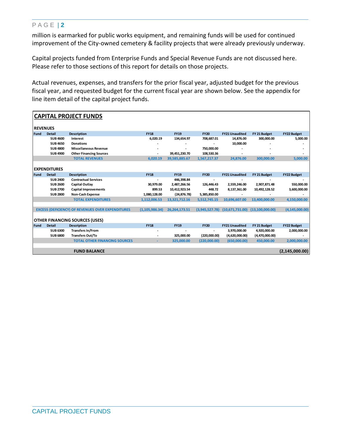#### P A G E | **2**

million is earmarked for public works equipment, and remaining funds will be used for continued improvement of the City-owned cemetery & facility projects that were already previously underway.

Capital projects funded from Enterprise Funds and Special Revenue Funds are not discussed here. Please refer to those sections of this report for details on those projects.

Actual revenues, expenses, and transfers for the prior fiscal year, adjusted budget for the previous fiscal year, and requested budget for the current fiscal year are shown below. See the appendix for line item detail of the capital project funds.

| <b>CAPITAL PROJECT FUNDS</b>          |                     |                                                          |                  |               |                |                       |                 |                    |
|---------------------------------------|---------------------|----------------------------------------------------------|------------------|---------------|----------------|-----------------------|-----------------|--------------------|
| <b>REVENUES</b>                       |                     |                                                          |                  |               |                |                       |                 |                    |
| Fund                                  | <b>Detail</b>       | <b>Description</b>                                       | <b>FY18</b>      | <b>FY19</b>   | <b>FY20</b>    | <b>FY21 Unaudited</b> | FY 21 Budget    | <b>FY22 Budget</b> |
|                                       | <b>SUB 4600</b>     | <b>Interest</b>                                          | 6,020.19         | 134,654.97    | 708,687.01     | 14,876.00             | 300,000.00      | 5,000.00           |
|                                       | <b>SUB 4650</b>     | <b>Donations</b>                                         |                  |               |                | 10,000.00             |                 |                    |
|                                       | <b>SUB 4800</b>     | <b>Miscellaneous Revenue</b>                             |                  |               | 750,000.00     |                       |                 |                    |
|                                       | <b>SUB 4900</b>     | <b>Other Financing Sources</b>                           | ٠                | 39,451,230.70 | 108,530.36     |                       |                 |                    |
|                                       |                     | <b>TOTAL REVENUES</b>                                    | 6,020.19         | 39,585,885.67 | 1,567,217.37   | 24,876.00             | 300,000.00      | 5,000.00           |
|                                       |                     |                                                          |                  |               |                |                       |                 |                    |
|                                       | <b>EXPENDITURES</b> |                                                          |                  |               |                |                       |                 |                    |
| <b>Fund</b>                           | <b>Detail</b>       | <b>Description</b>                                       | <b>FY18</b>      | <b>FY19</b>   | <b>FY20</b>    | <b>FY21 Unaudited</b> | FY 21 Budget    | <b>FY22 Budget</b> |
|                                       | <b>SUB 2400</b>     | <b>Contractual Services</b>                              |                  | 446,398.84    |                |                       |                 |                    |
|                                       | <b>SUB 2600</b>     | Capital Outlay                                           | 30,979.00        | 2,487,266.56  | 126,446.43     | 2,559,246.00          | 2,907,871.48    | 550,000.00         |
|                                       | <b>SUB 2700</b>     | <b>Capital Improvements</b>                              | 899.53           | 10,412,923.54 | 448.72         | 8,137,361.00          | 10,492,128.52   | 3,600,000.00       |
|                                       | <b>SUB 2800</b>     | <b>Non-Cash Expense</b>                                  | 1,080,128.00     | (24, 876.78)  | 5,385,850.00   |                       |                 |                    |
|                                       |                     | <b>TOTAL EXPENDITURES</b>                                | 1,112,006.53     | 13,321,712.16 | 5,512,745.15   | 10,696,607.00         | 13,400,000.00   | 4,150,000.00       |
|                                       |                     |                                                          |                  |               |                |                       |                 |                    |
|                                       |                     | <b>EXCESS (DEFICIENCY) OF REVENUES OVER EXPENDITURES</b> | (1, 105, 986.34) | 26,264,173.51 | (3,945,527.78) | (10,671,731.00)       | (13,100,000.00) | (4, 145, 000.00)   |
|                                       |                     |                                                          |                  |               |                |                       |                 |                    |
| <b>OTHER FINANCING SOURCES (USES)</b> |                     |                                                          |                  |               |                |                       |                 |                    |
| Fund                                  | <b>Detail</b>       | <b>Description</b>                                       | <b>FY18</b>      | <b>FY19</b>   | <b>FY20</b>    | <b>FY21 Unaudited</b> | FY 21 Budget    | <b>FY22 Budget</b> |
|                                       | <b>SUB 6300</b>     | <b>Transfers In/From</b>                                 |                  |               | $\blacksquare$ | 3,970,000.00          | 4,920,000.00    | 2,000,000.00       |
|                                       | <b>SUB 6800</b>     | <b>Transfers Out/To</b>                                  |                  | 325,000.00    | (220,000.00)   | (4,620,000.00)        | (4,470,000.00)  |                    |
|                                       |                     | <b>TOTAL OTHER FINANCING SOURCES</b>                     |                  | 325,000.00    | (220,000.00)   | (650,000.00)          | 450,000.00      | 2,000,000.00       |
|                                       |                     |                                                          |                  |               |                |                       |                 |                    |
|                                       |                     | <b>FUND BALANCE</b>                                      |                  |               |                |                       |                 | (2, 145, 000.00)   |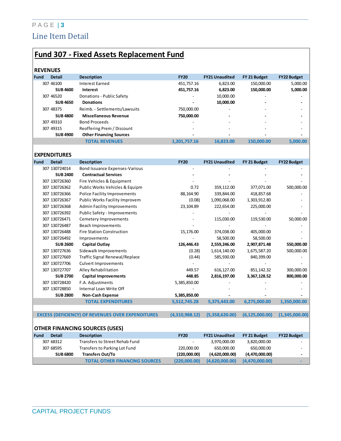## P A G E | **3** Line Item Detail

# **Fund 307 - Fixed Assets Replacement Fund**

| <b>REVENUES</b> |                 |                                |                          |                          |                          |                    |
|-----------------|-----------------|--------------------------------|--------------------------|--------------------------|--------------------------|--------------------|
| Fund            | <b>Detail</b>   | <b>Description</b>             | <b>FY20</b>              | <b>FY21 Unaudited</b>    | FY 21 Budget             | <b>FY22 Budget</b> |
|                 | 307 46100       | Interest Earned                | 451.757.16               | 6.823.00                 | 150.000.00               | 5,000.00           |
|                 | <b>SUB 4600</b> | Interest                       | 451,757.16               | 6.823.00                 | 150,000.00               | 5,000.00           |
|                 | 307 46520       | Donations - Public Safety      | $\overline{\phantom{a}}$ | 10,000.00                | -                        |                    |
|                 | <b>SUB 4650</b> | <b>Donations</b>               | $\overline{\phantom{0}}$ | 10,000.00                | -                        |                    |
|                 | 307 48375       | Reimb. - Settlements/Lawsuits  | 750,000.00               | ۰                        |                          |                    |
|                 | <b>SUB 4800</b> | <b>Miscellaneous Revenue</b>   | 750,000.00               | ۰                        | -                        |                    |
|                 | 307 49310       | <b>Bond Proceeds</b>           | ۰                        | $\overline{\phantom{0}}$ | $\overline{\phantom{0}}$ |                    |
|                 | 307 49315       | Reoffering Prem / Discount     | $\overline{\phantom{0}}$ | $\overline{\phantom{0}}$ | $\overline{\phantom{0}}$ |                    |
|                 | <b>SUB 4900</b> | <b>Other Financing Sources</b> | $\overline{\phantom{0}}$ | $\overline{\phantom{0}}$ | -                        |                    |
|                 |                 | <b>TOTAL REVENUES</b>          | 1,201,757.16             | 16.823.00                | 150.000.00               | 5.000.00           |

|                                       | <b>EXPENDITURES</b> |                                                          |                |                       |                  |                    |  |  |
|---------------------------------------|---------------------|----------------------------------------------------------|----------------|-----------------------|------------------|--------------------|--|--|
| <b>Fund</b>                           | <b>Detail</b>       | <b>Description</b>                                       | <b>FY20</b>    | <b>FY21 Unaudited</b> | FY 21 Budget     | <b>FY22 Budget</b> |  |  |
|                                       | 307 130724014       | Bond Issuance Expenses-Various                           |                |                       |                  |                    |  |  |
|                                       | <b>SUB 2400</b>     | <b>Contractual Services</b>                              |                |                       |                  |                    |  |  |
|                                       | 307 130726360       | Fire Vehicles & Equipment                                |                |                       |                  |                    |  |  |
|                                       | 307 130726362       | Public Works Vehicles & Equipm                           | 0.72           | 359,112.00            | 377,071.00       | 500,000.00         |  |  |
|                                       | 307 130726366       | Police Facility Improvements                             | 88,164.90      | 339,844.00            | 418,857.68       |                    |  |  |
|                                       | 307 130726367       | Public Works Facility Improvem                           | (0.08)         | 1,090,068.00          | 1,303,912.80     |                    |  |  |
|                                       | 307 130726368       | <b>Admin Facility Improvements</b>                       | 23,104.89      | 222,654.00            | 225,000.00       |                    |  |  |
|                                       | 307 130726392       | <b>Public Safety - Improvements</b>                      |                |                       |                  |                    |  |  |
|                                       | 307 130726471       | Cemetery Improvements                                    |                | 115,030.00            | 119,530.00       | 50,000.00          |  |  |
|                                       | 307 130726487       | Beach Improvements                                       |                |                       |                  |                    |  |  |
|                                       | 307 130726488       | <b>Fire Station Construction</b>                         | 15,176.00      | 374,038.00            | 405,000.00       |                    |  |  |
|                                       | 307 130726492       | Improvements                                             |                | 58,500.00             | 58,500.00        |                    |  |  |
|                                       | <b>SUB 2600</b>     | Capital Outlay                                           | 126,446.43     | 2,559,246.00          | 2,907,871.48     | 550,000.00         |  |  |
|                                       | 307 130727636       | Sidewalk Improvements                                    | (0.28)         | 1,614,140.00          | 1,675,587.20     | 500,000.00         |  |  |
|                                       | 307 130727669       | Traffic Signal Renewal/Replace                           | (0.44)         | 585,930.00            | 840,399.00       |                    |  |  |
|                                       | 307 130727706       | <b>Culvert Improvements</b>                              |                |                       |                  |                    |  |  |
|                                       | 307 130727707       | Alley Rehabilitation                                     | 449.57         | 616,127.00            | 851,142.32       | 300,000.00         |  |  |
|                                       | <b>SUB 2700</b>     | <b>Capital Improvements</b>                              | 448.85         | 2,816,197.00          | 3,367,128.52     | 800,000.00         |  |  |
|                                       | 307 130728420       | F.A. Adjustments                                         | 5,385,850.00   |                       |                  |                    |  |  |
|                                       | 307 130728850       | Internal Loan Write Off                                  |                |                       |                  |                    |  |  |
|                                       | <b>SUB 2800</b>     | <b>Non-Cash Expense</b>                                  | 5,385,850.00   |                       |                  |                    |  |  |
|                                       |                     | <b>TOTAL EXPENDITURES</b>                                | 5,512,745.28   | 5,375,443.00          | 6,275,000.00     | 1,350,000.00       |  |  |
|                                       |                     |                                                          |                |                       |                  |                    |  |  |
|                                       |                     | <b>EXCESS (DEFICIENCY) OF REVENUES OVER EXPENDITURES</b> | (4,310,988.12) | (5,358,620.00)        | (6, 125, 000.00) | (1,345,000.00)     |  |  |
|                                       |                     |                                                          |                |                       |                  |                    |  |  |
| <b>OTHER FINANCING SOURCES (USES)</b> |                     |                                                          |                |                       |                  |                    |  |  |
| <b>Fund</b>                           | <b>Detail</b>       | <b>Description</b>                                       | <b>FY20</b>    | <b>FY21 Unaudited</b> | FY 21 Budget     | <b>FY22 Budget</b> |  |  |
|                                       | 307 68312           | <b>Transfers to Street Rehab Fund</b>                    |                | 3,970,000.00          | 3,820,000.00     |                    |  |  |
|                                       | 307 68595           | Transfers to Parking Lot Fund                            | 220,000.00     | 650,000.00            | 650,000.00       |                    |  |  |
|                                       | <b>SUB 6800</b>     | <b>Transfers Out/To</b>                                  | (220,000.00)   | (4,620,000.00)        | (4,470,000.00)   |                    |  |  |
|                                       |                     | <b>TOTAL OTHER FINANCING SOURCES</b>                     | (220,000.00)   | (4,620,000.00)        | (4,470,000.00)   |                    |  |  |